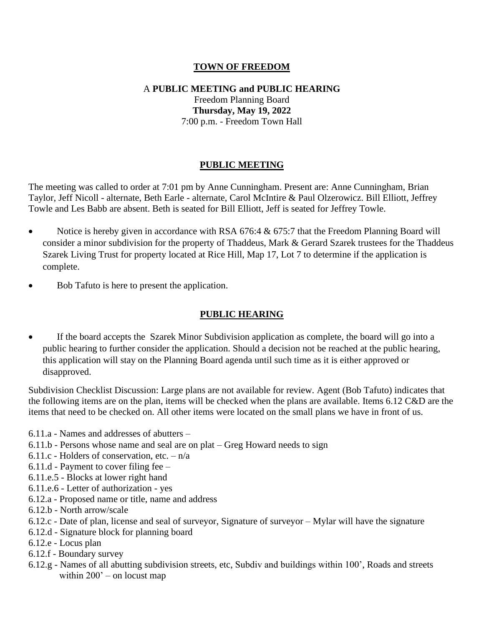# **TOWN OF FREEDOM**

# A **PUBLIC MEETING and PUBLIC HEARING**  Freedom Planning Board **Thursday, May 19, 2022** 7:00 p.m. - Freedom Town Hall

# **PUBLIC MEETING**

The meeting was called to order at 7:01 pm by Anne Cunningham. Present are: Anne Cunningham, Brian Taylor, Jeff Nicoll - alternate, Beth Earle - alternate, Carol McIntire & Paul Olzerowicz. Bill Elliott, Jeffrey Towle and Les Babb are absent. Beth is seated for Bill Elliott, Jeff is seated for Jeffrey Towle.

- Notice is hereby given in accordance with RSA 676:4 & 675:7 that the Freedom Planning Board will consider a minor subdivision for the property of Thaddeus, Mark & Gerard Szarek trustees for the Thaddeus Szarek Living Trust for property located at Rice Hill, Map 17, Lot 7 to determine if the application is complete.
- Bob Tafuto is here to present the application.

## **PUBLIC HEARING**

• If the board accepts the Szarek Minor Subdivision application as complete, the board will go into a public hearing to further consider the application. Should a decision not be reached at the public hearing, this application will stay on the Planning Board agenda until such time as it is either approved or disapproved.

Subdivision Checklist Discussion: Large plans are not available for review. Agent (Bob Tafuto) indicates that the following items are on the plan, items will be checked when the plans are available. Items 6.12 C&D are the items that need to be checked on. All other items were located on the small plans we have in front of us.

- 6.11.a Names and addresses of abutters –
- 6.11.b Persons whose name and seal are on plat Greg Howard needs to sign
- 6.11.c Holders of conservation, etc.  $-n/a$
- 6.11.d Payment to cover filing fee –
- 6.11.e.5 Blocks at lower right hand
- 6.11.e.6 Letter of authorization yes
- 6.12.a Proposed name or title, name and address
- 6.12.b North arrow/scale
- 6.12.c Date of plan, license and seal of surveyor, Signature of surveyor Mylar will have the signature
- 6.12.d Signature block for planning board
- 6.12.e Locus plan
- 6.12.f Boundary survey
- 6.12.g Names of all abutting subdivision streets, etc, Subdiv and buildings within 100', Roads and streets within  $200'$  – on locust map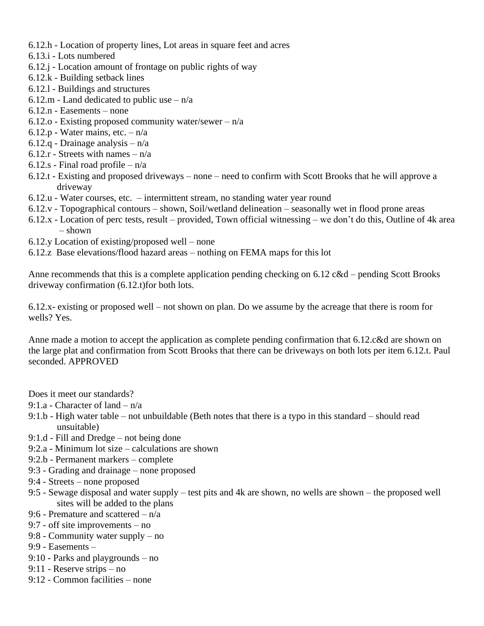- 6.12.h Location of property lines, Lot areas in square feet and acres
- 6.13.i Lots numbered
- 6.12.j Location amount of frontage on public rights of way
- 6.12.k Building setback lines
- 6.12.l Buildings and structures
- 6.12.m Land dedicated to public use  $n/a$
- 6.12.n Easements none
- 6.12.o Existing proposed community water/sewer  $-n/a$
- 6.12.p Water mains, etc.  $-n/a$
- 6.12.q Drainage analysis n/a
- 6.12.r Streets with names  $n/a$
- 6.12.s Final road profile n/a
- 6.12.t Existing and proposed driveways none need to confirm with Scott Brooks that he will approve a driveway
- 6.12.u Water courses, etc. intermittent stream, no standing water year round
- 6.12.v Topographical contours shown, Soil/wetland delineation seasonally wet in flood prone areas
- 6.12.x Location of perc tests, result provided, Town official witnessing we don't do this, Outline of 4k area  $-$  shown
- 6.12.y Location of existing/proposed well none
- 6.12.z Base elevations/flood hazard areas nothing on FEMA maps for this lot

Anne recommends that this is a complete application pending checking on 6.12 c&d – pending Scott Brooks driveway confirmation (6.12.t)for both lots.

6.12.x- existing or proposed well – not shown on plan. Do we assume by the acreage that there is room for wells? Yes.

Anne made a motion to accept the application as complete pending confirmation that 6.12.c&d are shown on the large plat and confirmation from Scott Brooks that there can be driveways on both lots per item 6.12.t. Paul seconded. APPROVED

Does it meet our standards?

- 9:1.a Character of land n/a
- 9:1.b High water table not unbuildable (Beth notes that there is a typo in this standard should read unsuitable)
- 9:1.d Fill and Dredge not being done
- 9:2.a Minimum lot size calculations are shown
- 9:2.b Permanent markers complete
- 9:3 Grading and drainage none proposed
- 9:4 Streets none proposed
- 9:5 Sewage disposal and water supply test pits and 4k are shown, no wells are shown the proposed well sites will be added to the plans
- 9:6 Premature and scattered n/a
- 9:7 off site improvements no
- 9:8 Community water supply no
- 9:9 Easements –
- 9:10 Parks and playgrounds no
- 9:11 Reserve strips no
- 9:12 Common facilities none